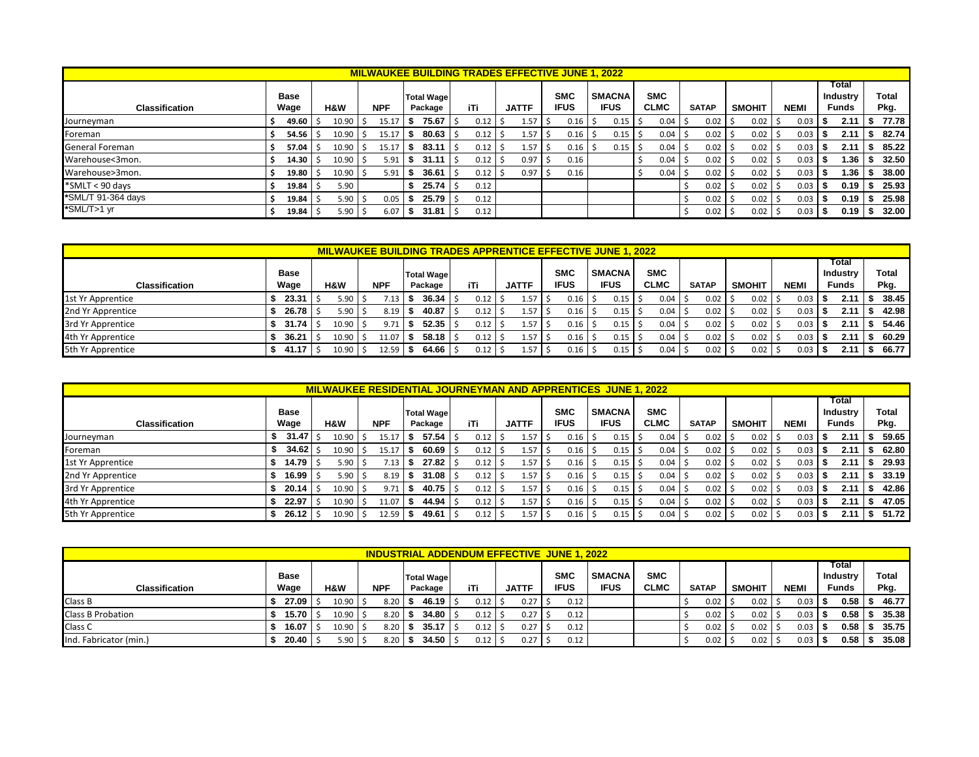|                        |             |       |            |      |                   |      | <b>MILWAUKEE BUILDING TRADES EFFECTIVE JUNE 1, 2022</b> |             |               |             |              |               |             |      |                          |      |              |
|------------------------|-------------|-------|------------|------|-------------------|------|---------------------------------------------------------|-------------|---------------|-------------|--------------|---------------|-------------|------|--------------------------|------|--------------|
|                        | <b>Base</b> |       |            |      | <b>Total Wage</b> |      |                                                         | <b>SMC</b>  | <b>SMACNA</b> | <b>SMC</b>  |              |               |             |      | Total<br><b>Industry</b> |      | <b>Total</b> |
| <b>Classification</b>  | Wage        | H&W   | <b>NPF</b> |      | Package           | iTi  | <b>JATTF</b>                                            | <b>IFUS</b> | <b>IFUS</b>   | <b>CLMC</b> | <b>SATAP</b> | <b>SMOHIT</b> | <b>NEMI</b> |      | Funds                    |      | Pkg.         |
| Journeyman             | 49.60       | 10.90 | 15.17      | ъ    | 75.67             | 0.12 | 1.57                                                    | 0.16        | 0.15          | 0.04        | 0.02         | 0.02          | 0.03        | - 55 | 2.11                     | - 55 | 77.78        |
| Foreman                | 54.56       | 10.90 | 15.17      | ъ    | 80.63             | 0.12 | 1.57                                                    | 0.16        | 0.15          | 0.04        | $0.02$ \$    | 0.02          | 0.03        |      | 2.11                     |      | 82.74        |
| <b>General Foreman</b> | 57.04       | 10.90 | 15.17      | ъ.   | 83.11             | 0.12 | 1.57                                                    | 0.16        | 0.15          | 0.04        | 0.02         | 0.02          | 0.03        | - 35 | 2.11                     | D.   | 85.22        |
| Warehouse<3mon.        | 14.30 l     | 10.90 | 5.91       | ъ    | 31.11             | 0.12 | 0.97                                                    | 0.16        |               | 0.04        | 0.02         | 0.02          | 0.03        | - 55 | 1.36 I                   | ъ.   | 32.50        |
| Warehouse>3mon.        | 19.80       | 10.90 | 5.91       | - 35 | 36.61             | 0.12 | 0.97                                                    | 0.16        |               | 0.04        | 0.02         | 0.02          | 0.03        | - 55 | 1.36 I                   | ъ.   | 38.00        |
| *SMLT < 90 days        | 19.84       | 5.90  |            |      | 25.74             | 0.12 |                                                         |             |               |             | 0.02         | 0.02          | 0.03        | 1 S  | 0.19                     | - 55 | 25.93        |
| *SML/T 91-364 days     | 19.84       | 5.90  | 0.05       |      | 25.79             | 0.12 |                                                         |             |               |             | 0.02         | 0.02          | 0.03        |      | 0.19                     |      | 25.98        |
| *SML/T>1 yr            | 19.84       | 5.90  | 6.07       | ъ    | 31.81             | 0.12 |                                                         |             |               |             | 0.02         | 0.02          | 0.03        |      | 0.19                     |      | 32.00        |

|                       |             |       |            |                   |      |              |             | <b>MILWAUKEE BUILDING TRADES APPRENTICE EFFECTIVE JUNE 1, 2022</b> |             |              |               |             |                   |       |
|-----------------------|-------------|-------|------------|-------------------|------|--------------|-------------|--------------------------------------------------------------------|-------------|--------------|---------------|-------------|-------------------|-------|
|                       | <b>Base</b> |       |            | <b>Total Wage</b> |      |              | <b>SMC</b>  | <b>SMACNA</b>                                                      | <b>SMC</b>  |              |               |             | Total<br>Industry | Total |
| <b>Classification</b> | Wage        | H&W   | <b>NPF</b> | Package           | iTi  | <b>JATTF</b> | <b>IFUS</b> | <b>IFUS</b>                                                        | <b>CLMC</b> | <b>SATAP</b> | <b>SMOHIT</b> | <b>NEMI</b> | Funds             | Pkg.  |
| 1st Yr Apprentice     | 23.31       | 5.90  | /13        | 36.34             | 0.12 | 1.57         | 0.16        | $0.15$   \$                                                        | 0.04        | 0.02         | 0.02          | 0.03        | 2.11              | 38.45 |
| 2nd Yr Apprentice     | 26.78       | 5.90  | 8.19       | 40.87             | 0.12 | 1.57         | 0.16        | $0.15$ \$                                                          | 0.04        | 0.02         | 0.02          | 0.03        | 2.11              | 42.98 |
| 3rd Yr Apprentice     | 31.74       | 10.90 | 9.71       | 52.35             | 0.12 | 1.57         | 0.16        | $0.15$   \$                                                        | 0.04        | 0.02         | 0.02          | 0.03        | 2.11              | 54.46 |
| 4th Yr Apprentice     | 36.21       | 10.90 | 11.07      | 58.18             | 0.12 | 1.57         | 0.16        | $0.15$ \$                                                          | 0.04        | 0.02         | 0.02          | 0.03        | 2.11              | 60.29 |
| 5th Yr Apprentice     | 41.17       | 10.90 | 12.59      | 64.66             | 0.12 | 1.57         | 0.16        | $0.15$ \$                                                          | 0.04        | 0.02         | 0.02          | 0.03        | 2.11              | 66.77 |

|                       |              | <b>MILWAUKEE RESIDENTIAL JOURNEYMAN AND APPRENTICES JUNE 1, 2022</b> |            |                              |      |              |                           |                              |                    |              |               |             |                                   |   |               |
|-----------------------|--------------|----------------------------------------------------------------------|------------|------------------------------|------|--------------|---------------------------|------------------------------|--------------------|--------------|---------------|-------------|-----------------------------------|---|---------------|
| <b>Classification</b> | Base<br>Waqe | H&W                                                                  | <b>NPF</b> | <b>Total Wage</b><br>Package | iTi  | <b>JATTF</b> | <b>SMC</b><br><b>IFUS</b> | <b>SMACNA</b><br><b>IFUS</b> | SMC<br><b>CLMC</b> | <b>SATAP</b> | <b>SMOHIT</b> | <b>NEMI</b> | Total<br>Industry<br><b>Funds</b> |   | Total<br>Pkg. |
| Journeyman            | 31.47        | 10.9                                                                 | 15.17      | 57.54                        | 0.12 | 1.57         | 0.16                      | 0.15                         | 0.04               | 0.02         | 0.02          | 0.03        | 2.11                              |   | 59.65         |
| Foreman               | 34.62        | 10.90                                                                | 15.17      | 60.69                        | 0.12 | 1.57         | 0.16                      | 0.15                         | 0.04               | 0.02         | 0.02          | 0.03        | 2.11                              |   | 62.80         |
| 1st Yr Apprentice     | 14.79        | 5.90                                                                 | /13        | 27.82                        | 0.12 | 1.57         | 0.16                      | 0.15                         | 0.04               | 0.02         | 0.02          | 0.03        | 2.11                              |   | 29.93         |
| 2nd Yr Apprentice     | 16.99        | 5.90                                                                 | 8.19       | $31.08$ $\pm$                | 0.12 | 1.57         | 0.16                      | 0.15                         | 0.04               | 0.02         | 0.02          | 0.03        | 2.11                              |   | 33.19         |
| 3rd Yr Apprentice     | 20.14        | 10.90                                                                | 9.71       | 40.75                        | 0.12 | 1.57         | 0.16                      | 0.15                         | 0.04               | 0.02         | 0.02          | 0.03        | 2.11                              |   | 42.86         |
| 4th Yr Apprentice     | 22.97        | 10.90                                                                | 11.07      | 44.94 l                      | 0.12 | 1.57         | 0.16                      | 0.15                         | 0.04               | 0.02         | 0.02          | 0.03        | 2.11                              |   | 47.05         |
| 5th Yr Apprentice     | 26.12        | 10.90                                                                | 12.59      | 49.61 $\vert$ \$             | 0.12 | 1.57         | 0.16                      | $0.15$ S                     | 0.04               | 0.02         | 0.02          | 0.03        | 2.11                              | S | 51.72         |

|                          |                     |       | <b>INDUSTRIAL ADDENDUM EFFECTIVE JUNE 1, 2022</b> |                              |      |              |                           |                              |                           |              |               |             |                                   |               |
|--------------------------|---------------------|-------|---------------------------------------------------|------------------------------|------|--------------|---------------------------|------------------------------|---------------------------|--------------|---------------|-------------|-----------------------------------|---------------|
| <b>Classification</b>    | <b>Base</b><br>Wage | H&W   | <b>NPF</b>                                        | <b>Total Wage</b><br>Package | iTi  | <b>JATTF</b> | <b>SMC</b><br><b>IFUS</b> | <b>SMACNA</b><br><b>IFUS</b> | <b>SMC</b><br><b>CLMC</b> | <b>SATAP</b> | <b>SMOHIT</b> | <b>NEMI</b> | Total<br>Industry<br><b>Funds</b> | Total<br>Pkg. |
| Class B                  | 27.09               | 10.90 | 8.20                                              | 46.19                        | 0.12 | 0.27         | 0.12                      |                              |                           | 0.02         | 0.02          | 0.03        | 0.58                              | 46.77         |
| <b>Class B Probation</b> | 15.70               | 10.90 | 8.20                                              | 34.80                        | 0.12 | 0.27         | 0.12                      |                              |                           | 0.02         | 0.02          | 0.03        | 0.58                              | 35.38         |
| Class C                  | 16.07               | 10.90 | 8.20                                              | 35.17                        | 0.12 | 0.27         | 0.12                      |                              |                           | 0.02         | 0.02          | 0.03        | 0.58                              | 35.75         |
| Ind. Fabricator (min.)   | 20.40               | 5.90  | 8.20                                              | 34.50                        | 0.12 | 0.27         | 0.12                      |                              |                           | 0.02         | 0.02          | 0.03        | 0.58                              | 35.08         |